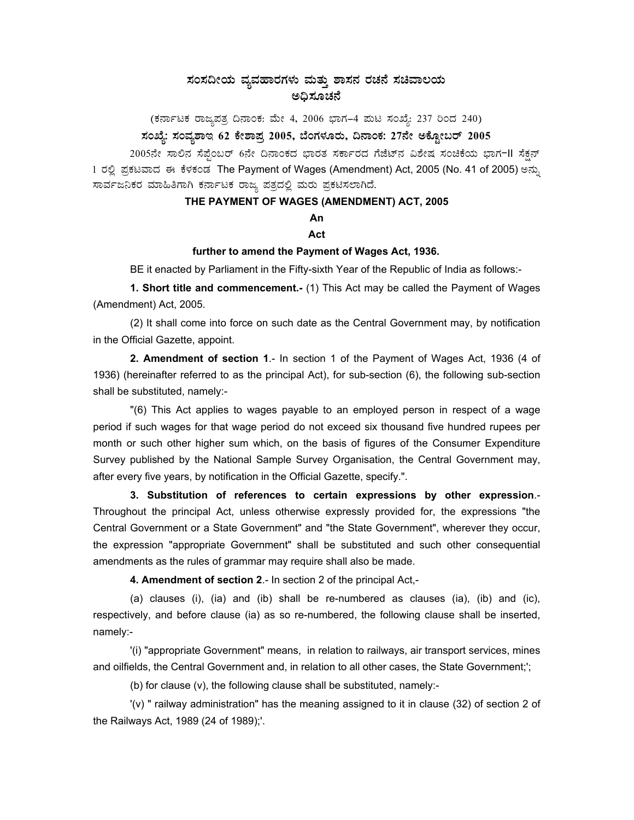# ಸಂಸದೀಯ ವ್ಯವಹಾರಗಳು ಮತ್ತು ಶಾಸನ ರಚನೆ ಸಚಿವಾಲಯ

(ಕರ್ನಾಟಕ ರಾಜ್ಯಪತ್ರ ದಿನಾಂಕ: ಮೇ 4, 2006 ಭಾಗ–4 ಮಟ ಸಂಖ್ಯೆ: 237 ರಿಂದ 240)

# ಸಂಖ್ಯೆ: ಸಂವ್ಯಶಾಇ 62 ಕೇಶಾಪ್ರ 2005, ಬೆಂಗಳೂರು, ದಿನಾಂಕ: 27ನೇ ಅಕ್ಟೋಬರ್ 2005

2005ನೇ ಸಾಲಿನ ಸೆಪ್ಪೆಂಬರ್ 6ನೇ ದಿನಾಂಕದ ಭಾರತ ಸರ್ಕಾರದ ಗೆಜೆಟ್ನ ವಿಶೇಷ ಸಂಚಿಕೆಯ ಭಾಗ-II ಸೆಕ್ಷನ್ 1 ರಲ್ಲಿ ಪ್ರಕಟವಾದ ಈ ಕೆಳಕಂಡ The Payment of Wages (Amendment) Act, 2005 (No. 41 of 2005) ಅನ್ನು ಸಾರ್ವಜನಿಕರ ಮಾಹಿತಿಗಾಗಿ ಕರ್ನಾಟಕ ರಾಜ್ಯ ಪತ್ರದಲ್ಲಿ ಮರು ಪ್ರಕಟಿಸಲಾಗಿದೆ.

# THE PAYMENT OF WAGES (AMENDMENT) ACT, 2005

# An

### Act

#### further to amend the Payment of Wages Act, 1936.

BE it enacted by Parliament in the Fifty-sixth Year of the Republic of India as follows:-

1. Short title and commencement.- (1) This Act may be called the Payment of Wages (Amendment) Act, 2005.

(2) It shall come into force on such date as the Central Government may, by notification in the Official Gazette, appoint.

2. Amendment of section 1.- In section 1 of the Payment of Wages Act, 1936 (4 of 1936) (hereinafter referred to as the principal Act), for sub-section (6), the following sub-section shall be substituted, namely:-

"(6) This Act applies to wages payable to an employed person in respect of a wage period if such wages for that wage period do not exceed six thousand five hundred rupees per month or such other higher sum which, on the basis of figures of the Consumer Expenditure Survey published by the National Sample Survey Organisation, the Central Government may, after every five years, by notification in the Official Gazette, specify.".

3. Substitution of references to certain expressions by other expression.-Throughout the principal Act, unless otherwise expressly provided for, the expressions "the Central Government or a State Government" and "the State Government", wherever they occur, the expression "appropriate Government" shall be substituted and such other consequential amendments as the rules of grammar may require shall also be made.

4. Amendment of section 2.- In section 2 of the principal Act,-

(a) clauses (i), (ia) and (ib) shall be re-numbered as clauses (ia), (ib) and (ic), respectively, and before clause (ia) as so re-numbered, the following clause shall be inserted, namely:-

(i) "appropriate Government" means, in relation to railways, air transport services, mines and oilfields, the Central Government and, in relation to all other cases, the State Government;';

(b) for clause  $(v)$ , the following clause shall be substituted, namely:-

'(v) " railway administration" has the meaning assigned to it in clause (32) of section 2 of the Railways Act, 1989 (24 of 1989);'.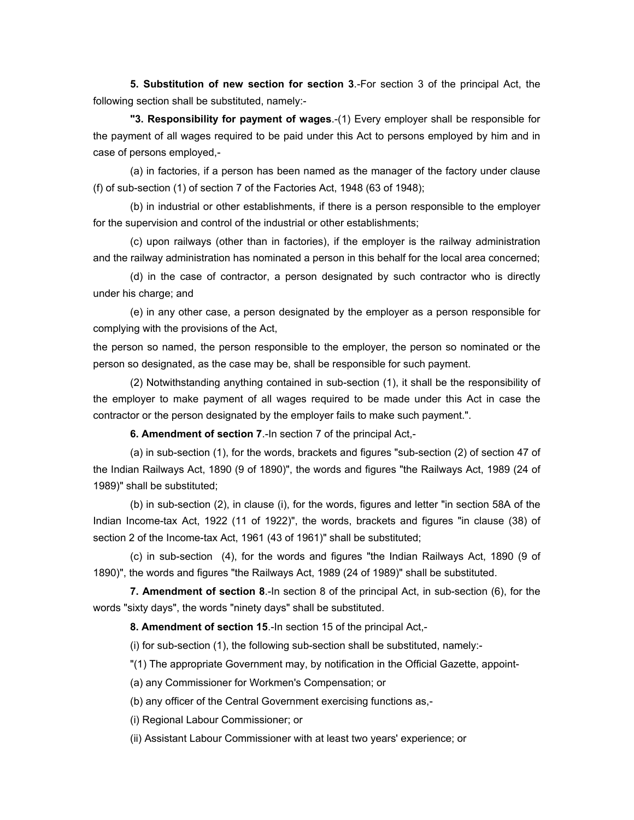**5. Substitution of new section for section 3**.-For section 3 of the principal Act, the following section shall be substituted, namely:-

**"3. Responsibility for payment of wages**.-(1) Every employer shall be responsible for the payment of all wages required to be paid under this Act to persons employed by him and in case of persons employed,-

(a) in factories, if a person has been named as the manager of the factory under clause (f) of sub-section (1) of section 7 of the Factories Act, 1948 (63 of 1948);

(b) in industrial or other establishments, if there is a person responsible to the employer for the supervision and control of the industrial or other establishments;

(c) upon railways (other than in factories), if the employer is the railway administration and the railway administration has nominated a person in this behalf for the local area concerned;

(d) in the case of contractor, a person designated by such contractor who is directly under his charge; and

(e) in any other case, a person designated by the employer as a person responsible for complying with the provisions of the Act,

the person so named, the person responsible to the employer, the person so nominated or the person so designated, as the case may be, shall be responsible for such payment.

(2) Notwithstanding anything contained in sub-section (1), it shall be the responsibility of the employer to make payment of all wages required to be made under this Act in case the contractor or the person designated by the employer fails to make such payment.".

**6. Amendment of section 7**.-In section 7 of the principal Act,-

(a) in sub-section (1), for the words, brackets and figures "sub-section (2) of section 47 of the Indian Railways Act, 1890 (9 of 1890)", the words and figures "the Railways Act, 1989 (24 of 1989)" shall be substituted;

(b) in sub-section (2), in clause (i), for the words, figures and letter "in section 58A of the Indian Income-tax Act, 1922 (11 of 1922)", the words, brackets and figures "in clause (38) of section 2 of the Income-tax Act, 1961 (43 of 1961)" shall be substituted;

(c) in sub-section (4), for the words and figures "the Indian Railways Act, 1890 (9 of 1890)", the words and figures "the Railways Act, 1989 (24 of 1989)" shall be substituted.

**7. Amendment of section 8**.-In section 8 of the principal Act, in sub-section (6), for the words "sixty days", the words "ninety days" shall be substituted.

**8. Amendment of section 15**.-In section 15 of the principal Act,-

(i) for sub-section (1), the following sub-section shall be substituted, namely:-

"(1) The appropriate Government may, by notification in the Official Gazette, appoint-

(a) any Commissioner for Workmen's Compensation; or

(b) any officer of the Central Government exercising functions as,-

(i) Regional Labour Commissioner; or

(ii) Assistant Labour Commissioner with at least two years' experience; or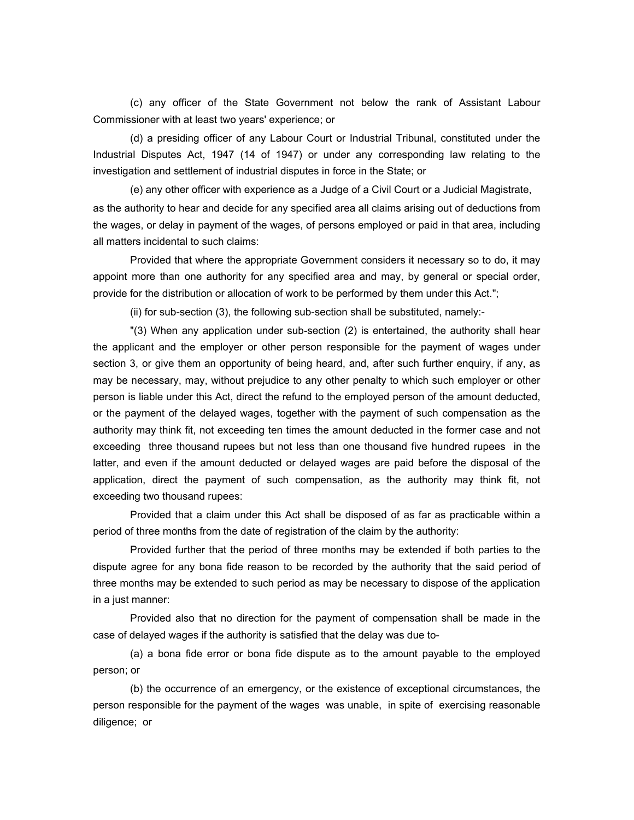(c) any officer of the State Government not below the rank of Assistant Labour Commissioner with at least two years' experience; or

(d) a presiding officer of any Labour Court or Industrial Tribunal, constituted under the Industrial Disputes Act, 1947 (14 of 1947) or under any corresponding law relating to the investigation and settlement of industrial disputes in force in the State; or

(e) any other officer with experience as a Judge of a Civil Court or a Judicial Magistrate, as the authority to hear and decide for any specified area all claims arising out of deductions from the wages, or delay in payment of the wages, of persons employed or paid in that area, including all matters incidental to such claims:

Provided that where the appropriate Government considers it necessary so to do, it may appoint more than one authority for any specified area and may, by general or special order, provide for the distribution or allocation of work to be performed by them under this Act.";

(ii) for sub-section (3), the following sub-section shall be substituted, namely:-

"(3) When any application under sub-section (2) is entertained, the authority shall hear the applicant and the employer or other person responsible for the payment of wages under section 3, or give them an opportunity of being heard, and, after such further enquiry, if any, as may be necessary, may, without prejudice to any other penalty to which such employer or other person is liable under this Act, direct the refund to the employed person of the amount deducted, or the payment of the delayed wages, together with the payment of such compensation as the authority may think fit, not exceeding ten times the amount deducted in the former case and not exceeding three thousand rupees but not less than one thousand five hundred rupees in the latter, and even if the amount deducted or delayed wages are paid before the disposal of the application, direct the payment of such compensation, as the authority may think fit, not exceeding two thousand rupees:

Provided that a claim under this Act shall be disposed of as far as practicable within a period of three months from the date of registration of the claim by the authority:

Provided further that the period of three months may be extended if both parties to the dispute agree for any bona fide reason to be recorded by the authority that the said period of three months may be extended to such period as may be necessary to dispose of the application in a just manner:

Provided also that no direction for the payment of compensation shall be made in the case of delayed wages if the authority is satisfied that the delay was due to-

(a) a bona fide error or bona fide dispute as to the amount payable to the employed person; or

(b) the occurrence of an emergency, or the existence of exceptional circumstances, the person responsible for the payment of the wages was unable, in spite of exercising reasonable diligence; or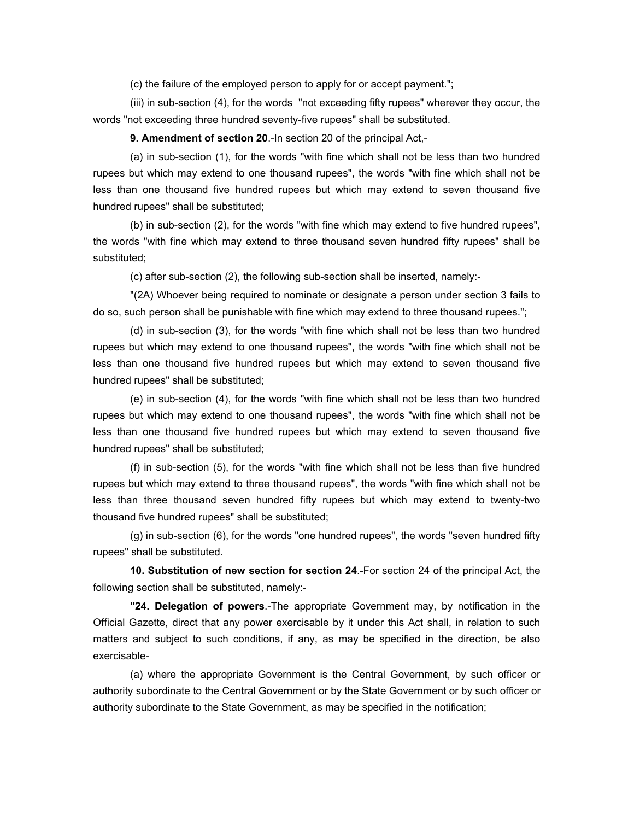(c) the failure of the employed person to apply for or accept payment.";

(iii) in sub-section (4), for the words "not exceeding fifty rupees" wherever they occur, the words "not exceeding three hundred seventy-five rupees" shall be substituted.

**9. Amendment of section 20**.-In section 20 of the principal Act,-

(a) in sub-section (1), for the words "with fine which shall not be less than two hundred rupees but which may extend to one thousand rupees", the words "with fine which shall not be less than one thousand five hundred rupees but which may extend to seven thousand five hundred rupees" shall be substituted;

(b) in sub-section (2), for the words "with fine which may extend to five hundred rupees", the words "with fine which may extend to three thousand seven hundred fifty rupees" shall be substituted;

(c) after sub-section (2), the following sub-section shall be inserted, namely:-

"(2A) Whoever being required to nominate or designate a person under section 3 fails to do so, such person shall be punishable with fine which may extend to three thousand rupees.";

(d) in sub-section (3), for the words "with fine which shall not be less than two hundred rupees but which may extend to one thousand rupees", the words "with fine which shall not be less than one thousand five hundred rupees but which may extend to seven thousand five hundred rupees" shall be substituted;

(e) in sub-section (4), for the words "with fine which shall not be less than two hundred rupees but which may extend to one thousand rupees", the words "with fine which shall not be less than one thousand five hundred rupees but which may extend to seven thousand five hundred rupees" shall be substituted;

(f) in sub-section (5), for the words "with fine which shall not be less than five hundred rupees but which may extend to three thousand rupees", the words "with fine which shall not be less than three thousand seven hundred fifty rupees but which may extend to twenty-two thousand five hundred rupees" shall be substituted;

(g) in sub-section (6), for the words "one hundred rupees", the words "seven hundred fifty rupees" shall be substituted.

**10. Substitution of new section for section 24**.-For section 24 of the principal Act, the following section shall be substituted, namely:-

**"24. Delegation of powers**.-The appropriate Government may, by notification in the Official Gazette, direct that any power exercisable by it under this Act shall, in relation to such matters and subject to such conditions, if any, as may be specified in the direction, be also exercisable-

(a) where the appropriate Government is the Central Government, by such officer or authority subordinate to the Central Government or by the State Government or by such officer or authority subordinate to the State Government, as may be specified in the notification;